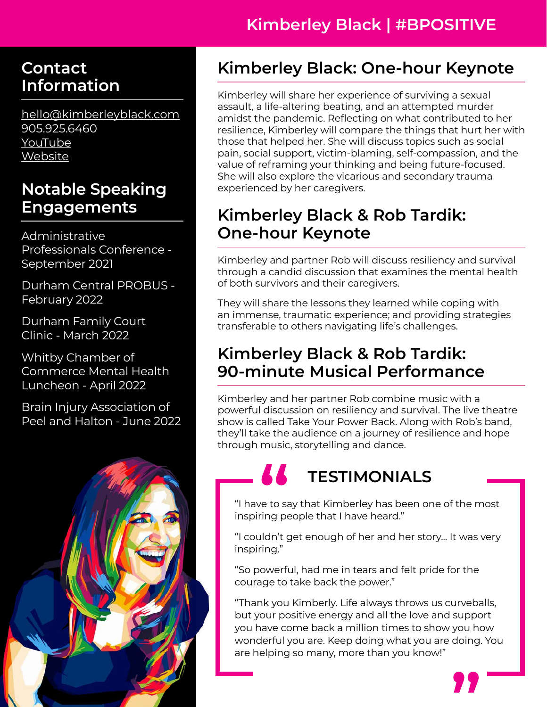# **Kimberley Black | #BPOSITIVE**

#### **Contact Information**

[hello@kimberleyblack.com](mailto:hello%40%20kimberleyblack.com?subject=Media%20Kit%20Inquiry) 905.925.6460 [YouTube](https://www.youtube.com/c/KimberleyBlack/featured) **[Website](https://kimberleyblack.com/)** 

### **Notable Speaking Engagements**

Administrative Professionals Conference - September 2021

Durham Central PROBUS - February 2022

Durham Family Court Clinic - March 2022

Whitby Chamber of Commerce Mental Health Luncheon - April 2022

Brain Injury Association of Peel and Halton - June 2022



# **Kimberley Black: One-hour Keynote**

Kimberley will share her experience of surviving a sexual assault, a life-altering beating, and an attempted murder amidst the pandemic. Reflecting on what contributed to her resilience, Kimberley will compare the things that hurt her with those that helped her. She will discuss topics such as social pain, social support, victim-blaming, self-compassion, and the value of reframing your thinking and being future-focused. She will also explore the vicarious and secondary trauma experienced by her caregivers.

#### **Kimberley Black & Rob Tardik: One-hour Keynote**

Kimberley and partner Rob will discuss resiliency and survival through a candid discussion that examines the mental health of both survivors and their caregivers.

They will share the lessons they learned while coping with an immense, traumatic experience; and providing strategies transferable to others navigating life's challenges.

#### **Kimberley Black & Rob Tardik: 90-minute Musical Performance**

Kimberley and her partner Rob combine music with a powerful discussion on resiliency and survival. The live theatre show is called Take Your Power Back. Along with Rob's band, they'll take the audience on a journey of resilience and hope through music, storytelling and dance.

# **TESTIMONIALS**

"I have to say that Kimberley has been one of the most inspiring people that I have heard."

"I couldn't get enough of her and her story... It was very inspiring."

"So powerful, had me in tears and felt pride for the courage to take back the power."

"Thank you Kimberly. Life always throws us curveballs, but your positive energy and all the love and support you have come back a million times to show you how wonderful you are. Keep doing what you are doing. You are helping so many, more than you know!"